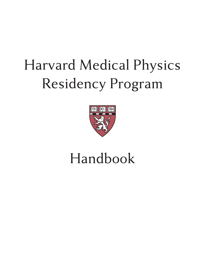# Harvard Medical Physics Residency Program



# Handbook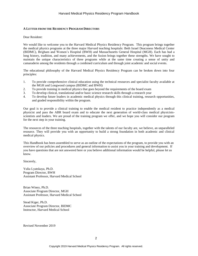#### <span id="page-1-0"></span>**A LETTER FROM THE RESIDENCY PROGRAM DIRECTORS**

#### Dear Resident:

We would like to welcome you to the Harvard Medical Physics Residency Program. This program brings together the medical physics programs at the three major Harvard teaching hospitals: Beth Israel Deaconess Medical Center (BIDMC), Brigham and Women's Hospital (BWH) and Massachusetts General Hospital (MGH). Each has had a long history, tradition, and many achievements, and the fusion brings together these strengths. We have sought to maintain the unique characteristics of three programs while at the same time creating a sense of unity and camaraderie among the residents through a combined curriculum and through joint academic and social events.

The educational philosophy of the Harvard Medical Physics Residency Program can be broken down into four principles:

- 1. To provide comprehensive clinical education using the technical resources and specialist faculty available at the MGH and Longwood campus (BIDMC and BWH)
- 2. To provide training in medical physics that goes beyond the requirements of the board exam
- 3. To develop clinical, translational and/or basic science research skills through a research year
- 4. To develop future leaders in academic medical physics through this clinical training, research opportunities, and graded responsibility within the program.

Our goal is to provide a clinical training to enable the medical resident to practice independently as a medical physicist and pass the ABR board exam and to educate the next generation of world-class medical physicistsscientists and leaders. We are proud of the training program we offer, and we hope you will consider our program for the next step in your training.

The resources of the three teaching hospitals, together with the talents of our faculty are, we believe, an unparalleled resource. They will provide you with an opportunity to build a strong foundation in both academic and clinical medical physics.

This Handbook has been assembled to serve as an outline of the expectations of the program, to provide you with an overview of our policies and procedures and general information to assist you in your training and development. If you have questions that are not answered here or you believe additional information would be helpful, please let us know.

Sincerely,

Yulia Lyatskaya, Ph.D. Program Director, BWH Assistant Professor, Harvard Medical School

Brian Winey, Ph.D. Associate Program Director, MGH Assistant Professor, Harvard Medical School

Stead Kiger, Ph.D. Associate Program Director, BIDMC Instructor, Harvard Medical School

Revised November 2019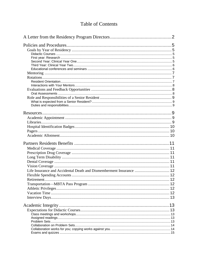# **Table of Contents**

| Life Insurance and Accidental Death and Dismemberment Insurance  12 |  |
|---------------------------------------------------------------------|--|
|                                                                     |  |
|                                                                     |  |
|                                                                     |  |
|                                                                     |  |
|                                                                     |  |
|                                                                     |  |
|                                                                     |  |
|                                                                     |  |
|                                                                     |  |
|                                                                     |  |
|                                                                     |  |
|                                                                     |  |
|                                                                     |  |
|                                                                     |  |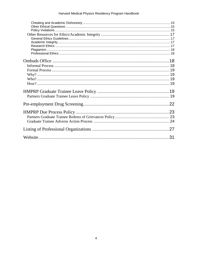| 31 |
|----|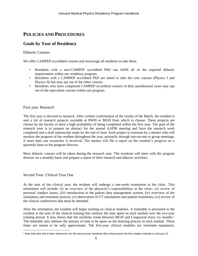# <span id="page-4-0"></span>**POLICIES AND PROCEDURES**

## <span id="page-4-1"></span>**Goals by Year of Residency**

## <span id="page-4-2"></span>Didactic Courses

We offer CAMPEP accredited courses and encourage all residents to take them.

- Residents with a non-CAMPEP accredited PhD can fulfill all of the required didactic requirements within our residency program.
- Residents with a CAMPEP accredited PhD are asked to take the core courses (Physics I and Physics II) but may opt out of the other courses.
- Residents who have completed CAMPEP accredited courses in their postdoctoral years may opt out of the equivalent courses within our program.

## <span id="page-4-3"></span>First year: Research

The first year is devoted to research. After written confirmation of the results of the Match, the resident is sent a list of research projects available at BWH or MGH from which to choose. These projects are chosen by the faculty to have a high probability of being completed within the first year. The goal of the research year is to prepare an abstract for the annual AAPM meeting and have the research work completed and a draft manuscript ready by the end of June. Each project is overseen by a mentor who will monitor the progress of the resident throughout the year, primarily through one-on-one or group meetings, if more than one researcher is involved. The mentor will file a report on the resident's progress on a quarterly basis to the program director.

Most didactic courses will be taken during the research year. The residents will meet with the program director on a monthly basis and prepare a report of their research and didactic activities.

## <span id="page-4-4"></span>Second Year: Clinical Year One

At the start of the clinical year, the resident will undergo a one-week orientation to the clinic. This orientation will include: (i) an overview of the physicist's responsibilities in the clinic; (ii) review of personal conduct issues; (iii) introduction to the patient data management system; (iv) overview of the simulation and treatment process; (v) observation of CT simulations and patient treatments; (vi) review of the clinical conferences that must be attended.

After the orientation, the resident will begin training on clinical modules. A timetable is presented to the resident at the start of the clinical training that outlines the time spent on each module over the two-year training period. It also shows that the residents rotate between MGH and Longwood every six months. 1 The timetable also outlines the amount of time to be spent on the learning process in each module. These times are meant to be only approximate. The first-year clinical modules are treatment equipment,

 $\overline{a}$ <sup>1</sup> Note that here and in later references, for the second year residents (first clinical year) the first rotation extends to January 31.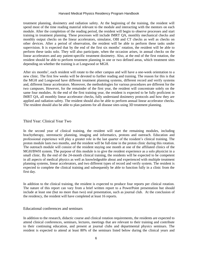treatment planning, dosimetry and radiation safety. At the beginning of the training, the resident will spend most of the time reading material relevant to the module and interacting with the mentors on each module. After the completion of the reading period, the resident will begin to observe processes and start training in treatment planning. These processes will include IMRT QA, monthly mechanical checks and monthly output checks on the linear accelerators, simulator, OBI and CT checks as well as checks on other devices. After a period of observation, the resident will be able to perform these tasks under supervision. It is expected that by the end of the first six months' rotation, the resident will be able to perform these tasks solo. They will also participate, when the occasion arises, in annual checks on the linear accelerators and any patient-specific treatment dosimetry. Also, at the end of the first rotation, the resident should be able to perform treatment planning in one or two defined areas, which treatment sites depending on whether the training is at Longwood or MGH.

After six months<sup>1</sup>, each resident will rotate to the other campus and will have a one-week orientation to a new clinic. The first few weeks will be devoted to further reading and training. The reason for this is that the MGH and Longwood have different treatment planning systems, different record and verify systems and, different linear accelerators. Moreover, the methodologies for various procedures are different for the two campuses. However, for the remainder of the first year, the resident will concentrate solely on the same four modules. At the end of the first training year, the resident is expected to be fully proficient in IMRT QA, all monthly linear accelerator checks, fully understand dosimetry protocols and how they are applied and radiation safety. The resident should also be able to perform annual linear accelerator checks. The resident should also be able to plan patients for all disease sites using 3D treatment planning.

#### <span id="page-5-0"></span>Third Year: Clinical Year Two

In the second year of clinical training, the resident will start the remaining modules, including brachytherapy, stereotactic planning, imaging and informatics, protons and outreach. Education and professional experience will play a greater role in the last quarter of the resident's clinical training. The proton module lasts two months, and the resident will be full-time in the proton clinic during this rotation. The outreach module will consist of the resident staying one month at one of the affiliated clinics of the MGH/BWH system. The purpose of this module is to give the resident experience as a solo physicist in a small clinic. By the end of the 24-month clinical training, the residents will be expected to be competent in all aspects of medical physics as well as knowledgeable about and experienced with multiple treatment planning systems, linear accelerators, and two different types of record and verify system. The resident is expected to complete the clinical training and subsequently be able to function fully in a clinic from the first day.

In addition to the clinical training, the resident is expected to produce four reports per clinical rotation. The nature of this report can vary from a brief written report to a PowerPoint presentation but should include at least one (but no more than two) oral presentation, such as journal club. At the conclusion of the residency, the resident will have completed at least 16 reports.

#### <span id="page-5-1"></span>Educational conferences and seminars

In addition to the research, didactic course and clinical rotation requirements, the residents are expected to attend clinical conferences, seminars, lectures, meetings that are relevant to their training and contribute to their continuing education, and present at journal clubs and departmental physics seminars. The resident is expected to attend at least 80% of the seminars listed below during the clinical years and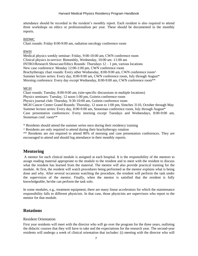attendance should be recorded in the resident's monthly report. Each resident is also required to attend three workshops on ethics or professionalism per year. These should be documented in the monthly reports.

## BIDMC

Chart rounds: Friday 8:00-9:00 am, radiation oncology conference room

## BWH

Medical physics weekly seminar: Friday, 9:00-10:00 am, CWN conference room Clinical physics in-service: Bimonthly, Wednesday, 10:00 am -11:00 am INTRO/Research Showcase/Ethics Rounds: Thursdays 12 – 1 pm, various locations New case conference: Monday 12:00-1:00 pm, CWN conference room Brachytherapy chart rounds: Every other Wednesday, 8:00-9:00 am, CWN conference room^ Summer lecture series: Every day, 8:00-9:00 am, CWN conference room, July through August\* Morning conference: Every day except Wednesday, 8:00-9:00 am, CWN conference room<sup>\*\*</sup>

## MGH

Chart rounds: Tuesday, 8:00-9:00 am, (site-specific discussions in multiple locations) Physics seminars: Tuesday, 12 noon-1:00 pm, Goitein conference room Physics journal club: Thursday, 9:30-10:00 am, Goitein conference room MGH Cancer Center Grand Rounds: Thursday, 12 noon to 1:00 pm, Simches 3110, October through May Summer lecture series: Every day, 8:00-9:00 am, Stoneman conference room, July through August\* Case presentation conferences: Every morning except Tuesdays and Wednesdays, 8:00-9:00 am, Stoneman conf. room\*\*

\* Residents should attend the summer series once during their residency training

^ Residents are only required to attend during their brachytherapy rotation

\*\* Residents are not required to attend 80% of morning and case presentation conferences. They are encouraged to attend and should log attendance in their monthly reports.

## <span id="page-6-0"></span>**Mentoring**

A mentor for each clinical module is assigned at each hospital. It is the responsibility of the mentors to assign reading material appropriate to the module to the resident and to meet with the resident to discuss what the resident has learned from the material. The mentor will also provide practical training for the module. At first, the resident will watch procedures being performed as the mentor explains what is being done and why. After several occasions watching the procedure, the resident will perform the task under the supervision of the mentor. Finally, when the mentor is satisfied that the resident is fully knowledgeable, he/she can perform the task solo.

In some modules, e.g., treatment equipment, there are many linear accelerators for which the maintenance responsibility falls to different physicists. In that case, those physicists are supervisors who report to the mentor for that module.

## <span id="page-6-1"></span>**Rotations**

## <span id="page-6-2"></span>Resident Orientation

First year residents will meet with the director who will go over the program for the three years, outlining the didactic courses that they will have to take and the expectations for the research year. The second-year residents will undergo a week of clinical orientation that includes: (i) meeting with the director who will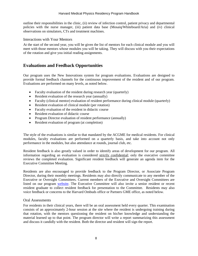outline their responsibilities in the clinic, (ii) review of infection control, patient privacy and departmental policies with the nurse manager, (iii) patient data base (Mosaiq/Whiteboard/Aria) and (iv) clinical observations on simulators, CTs and treatment machines.

### <span id="page-7-0"></span>Interactions with Your Mentors

At the start of the second year, you will be given the list of mentors for each clinical module and you will meet with those mentors whose modules you will be taking. They will discuss with you their expectations of the rotation and give you initial reading assignments.

## <span id="page-7-1"></span>**Evaluations and Feedback Opportunities**

Our program uses the New Innovations system for program evaluations. Evaluations are designed to provide formal feedback channels for the continuous improvement of the resident and of our program. Evaluations are performed on many levels, as noted below.

- Faculty evaluation of the resident during research year (quarterly)
- Resident evaluation of the research year (annually)
- Faculty (clinical mentor) evaluation of resident performance during clinical module (quarterly)
- Resident evaluation of clinical module (per rotation)
- Faculty evaluation of the resident in didactic course
- Resident evaluation of didactic course
- Program Director evaluation of resident performance (annually)
- Resident evaluation of program (at completion)

The style of the evaluations is similar to that mandated by the ACGME for medical residents. For clinical modules, faculty evaluations are performed on a quarterly basis, and take into account not only performance in the modules, but also attendance at rounds, journal club, etc.

Resident feedback is also greatly valued in order to identify areas of development for our program. All information regarding an evaluation is considered strictly confidential; only the executive committee reviews the completed evaluation. Significant resident feedback will generate an agenda item for the Executive Committee Meeting.

Residents are also encouraged to provide feedback to the Program Director, or Associate Program Director, during their monthly meetings. Residents may also directly communicate to any member of the Executive or Oversight Committees. Current members of the Executive and Oversight Committees are listed on our program [website.](http://www.harvardmedphys.org/) The Executive Committee will also invite a senior resident or recent resident graduate to collect resident feedback for presentation to the Committee. Residents may also voice feedback or concerns to the Harvard Ombuds office or Partners GME office, as noted below.

#### <span id="page-7-2"></span>Oral Assessments

For residents in their clinical years, there will be an oral assessment held every quarter. This examination consists of an approximately 2-hour session at the site where the resident is undergoing training during that rotation, with the mentors questioning the resident on his/her knowledge and understanding the material learned up to that point. The program director will write a report summarizing this assessment and discuss it candidly with the resident. Both the director and resident will sign the report.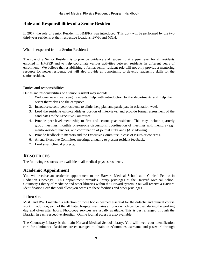# <span id="page-8-0"></span>**Role and Responsibilities of a Senior Resident**

In 2017, the role of Senior Resident in HMPRP was introduced. This duty will be performed by the two third-year residents at their respective locations, BWH and MGH.

<span id="page-8-1"></span>What is expected from a Senior Resident?

The role of a Senior Resident is to provide guidance and leadership at a peer level for all residents enrolled in HMPRP and to help coordinate various activities between residents in different years of enrollment. We believe that establishing a formal senior resident role will not only provide a mentoring resource for newer residents, but will also provide an opportunity to develop leadership skills for the senior resident.

## <span id="page-8-2"></span>Duties and responsibilities

Duties and responsibilities of a senior resident may include:

- 1. Welcome new (first year) residents, help with introduction to the departments and help them orient themselves on the campuses.
- 2. Introduce second-year residents to clinic, help plan and participate in orientation week.
- 3. Lead the residents-with-candidates portion of interviews, and provide formal assessment of the candidates to the Executive Committee.
- 4. Provide peer-level mentorship to first and second-year residents. This may include quarterly group meetings, monthly one-on-one discussions, coordination of meetings with mentors (e.g., mentor-resident lunches) and coordination of journal clubs and QA shadowing.
- 5. Provide feedback to mentors and the Executive Committee in case of issues or concerns.
- 6. Attend Executive Committee meetings annually to present resident feedback.
- 7. Lead small clinical projects.

# <span id="page-8-3"></span>**RESOURCES**

<span id="page-8-4"></span>The following resources are available to all medical physics residents.

## **Academic Appointment**

You will receive an academic appointment to the Harvard Medical School as a Clinical Fellow in Radiation Oncology. This appointment provides library privileges at the Harvard Medical School Countway Library of Medicine and other libraries within the Harvard system. You will receive a Harvard Identification Card that will allow you access to these facilities and other privileges.

## <span id="page-8-5"></span>**Libraries**

MGH and BWH maintain a selection of those books deemed essential for the didactic and clinical course work. In addition, each of the affiliated hospital maintains a library which can be used during the working day and often after hours. Photocopy services are usually available. This is best arranged through the librarian in each respective Hospital. Online journal access is also available.

The Countway Library is the main Harvard Medical School library. You will need your identification card for admittance. Residents are encouraged to obtain an eCommons username and password through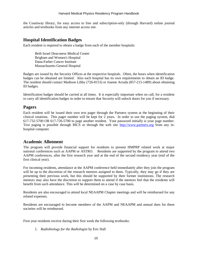the Countway library, for easy access to free and subscription-only (through Harvard) online journal articles and textbooks from any internet access site.

## <span id="page-9-0"></span>**Hospital Identification Badges**

Each resident is required to obtain a badge from each of the member hospitals:

Beth Israel Deaconess Medical Center Brigham and Women's Hospital Dana-Farber Cancer Institute Massachusetts General Hospital

Badges are issued by the Security Offices at the respective hospitals. Often, the hours when identification badges can be obtained are limited. Also each hospital has its own requirements to obtain an ID badge. The resident should contact Madison Libby (726-8153) or Joanne Arruda (857-215-1489) about obtaining ID badges.

Identification badges should be carried at all times. It is especially important when on call, for a resident to carry all identification badges in order to ensure that Security will unlock doors for you if necessary.

## <span id="page-9-1"></span>**Pagers**

Each resident will be issued their own text pager through the Partners system at the beginning of their clinical rotations. This pager number will be kept for 2 years. In order to use the paging system, dial 617-732-5700 OR 617-726-5700 to page another resident. Your password initially is your page number. Text paging is possible through BICS or through the web site [http://www.partners.org](http://www.partners.org/) from any inhospital computer.

## <span id="page-9-2"></span>**Academic Allotment**

The program will provide financial support for residents to present HMPRP related work at major national conferences such as AAPM or ASTRO. Residents are supported by the program to attend two AAPM conferences, after the first research year and at the end of the second residency year (end of the first clinical year).

For incoming residents, attendance at the AAPM conference held immediately after they join the program will be up to the discretion of the research mentors assigned to them. Typically, they may go if they are presenting their previous work, but this should be supported by their former institutions. The research mentors may also have the discretion to support them to attend if the mentors feel that the residents will benefit from such attendance. This will be determined on a case by case basis.

Residents are also encouraged to attend local NEAAPM Chapter meetings and will be reimbursed for any related expenses.

Residents are encouraged to become members of the AAPM and NEAAPM and annual dues for these societies will be reimbursed.

First year residents receive during their first week the following textbooks:

1. *Radiobiology for the Radiologist* by Eric Hall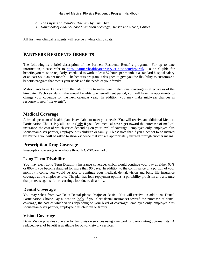- 2. *The Physics of Radiation Therapy* by Faiz Khan
- 3. *Handbook of evidence based radiation oncology*, Hansen and Roach, Editors

All first year clinical residents will receive 2 white clinic coats.

# <span id="page-10-0"></span>**PARTNERS RESIDENTS BENEFITS**

The following is a brief description of the Partners Residents Benefits program. For up to date information, please refer to [https://partnershealthcarehr.service-now.com/hrportal/.](https://partnershealthcarehr.service-now.com/hrportal/) To be eligible for benefits you must be regularly scheduled to work at least 87 hours per month at a standard hospital salary of at least \$833.34 per month. The benefits program is designed to give you the flexibility to customize a benefits program that meets your needs and the needs of your family.

Matriculants have 30 days from the date of hire to make benefit elections; coverage is effective as of the hire date. Each year during the annual benefits open enrollment period, you will have the opportunity to change your coverage for the next calendar year. In addition, you may make mid-year changes in response to new "life events".

# <span id="page-10-1"></span>**Medical Coverage**

A broad spectrum of health plans is available to meet your needs. You will receive an additional Medical Participation Choice Pay allocation (only if you elect medical coverage) toward the purchase of medical insurance, the cost of which varies depending on your level of coverage: employee only, employee plus spouse/same-sex partner, employee plus children or family. Please note that if you elect not to be insured by Partners you will be asked to show evidence that you are appropriately insured through another means.

# <span id="page-10-2"></span>**Prescription Drug Coverage**

<span id="page-10-3"></span>Prescription coverage is available through CVS/Caremark.

# **Long Term Disability**

You may elect Long Term Disability insurance coverage, which would continue your pay at either 60% or 80% if you become disabled for more than 90 days. In addition to the continuance of a portion of your monthly income, you would be able to continue your medical, dental, vision and basic life insurance coverage at the employee rate. The plan has loan repayment options, a portability provision and a feature that protects against future earnings loss due to disability.

# <span id="page-10-4"></span>**Dental Coverage**

You may select from two Delta Dental plans: Major or Basic. You will receive an additional Dental Participation Choice Pay allocation (only if you elect dental insurance) toward the purchase of dental coverage, the cost of which varies depending on your level of coverage: employee only, employee plus spouse/same-sex partner, employee plus children or family.

# <span id="page-10-5"></span>**Vision Coverage**

Davis Vision provides coverage for basic vision services using a network of participating optometrists. A reduced level of benefit is available for out-of-network services.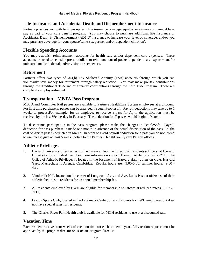## <span id="page-11-0"></span>**Life Insurance and Accidental Death and Dismemberment Insurance**

Partners provides you with basic group term life insurance coverage equal to one times your annual base pay as part of your core benefit program. You may choose to purchase additional life insurance or Accidental Death & Dismemberment (AD&D) insurance to increase your level of coverage, and/or you may purchase coverage for your spouse/same-sex partner and/or dependent child(ren).

## <span id="page-11-1"></span>**Flexible Spending Accounts**

You may establish reimbursement accounts for health care and/or dependent care expenses. These accounts are used to set aside pre-tax dollars to reimburse out-of-pocket dependent care expenses and/or uninsured medical, dental and/or vision care expenses.

## <span id="page-11-2"></span>**Retirement**

Partners offers two types of 403(b) Tax Sheltered Annuity (TSA) accounts through which you can voluntarily save money for retirement through salary reduction. You may make pre-tax contributions through the Traditional TSA and/or after-tax contributions through the Roth TSA Program. These are completely employee-funded.

## <span id="page-11-3"></span>**Transportation—MBTA Pass Program**

MBTA and Commuter Rail passes are available to Partners HealthCare System employees at a discount. For first time purchasers, passes can be arranged through Peoplesoft. Payroll deductions may take up to 5 weeks to processFor example, for an employee to receive a pass for April, the application must be received by the last Wednesday in February. The deduction for T-passes would begin in March.

To discontinue participation in the pass program, please make the changes in PeopleSoft. Payroll deduction for pass purchase is made one month in advance of the actual distribution of the pass, i.e. the cost of April's pass is deducted in March. In order to avoid payroll deduction for a pass you do not intend to use, please give at least 5 weeks notice to the Partners HealthCare System Payroll offices.

# <span id="page-11-4"></span>**Athletic Privileges**

- 1. Harvard University offers access to their main athletic facilities to all residents (officers) at Harvard University for a modest fee. For more information contact Harvard Athletics at 495-2211. The Office of Athletic Privileges is located in the basement of Harvard Hall - Johnston Gate, Harvard Yard, Massachusetts Avenue, Cambridge. Regular hours are: 9:00-5:00; summer hours: 9:00 - 4:30.
- 2. Vanderbilt Hall, located on the corner of Longwood Ave. and Ave. Louis Pasteur offers use of their athletic facilities to residents for an annual membership fee.
- 3. All residents employed by BWH are eligible for membership to Fitcorp at reduced rates (617-732- 7111).
- 4. Boston Sports Club, located in the Landmark Center, offers discounts for BWH employees but does not have special rates for residents.
- <span id="page-11-5"></span>5. The Charles River Park Health club is available for MGH residents to use at a discounted rate.

# **Vacation Time**

Each resident receives four weeks of vacation time for each academic year. All vacation requests must be approved by the program director or associate program director.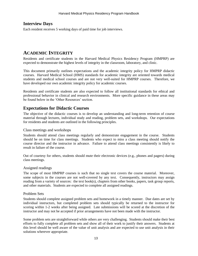# <span id="page-12-0"></span>**Interview Days**

Each resident receives 5 working days of paid time for job interviews.

# <span id="page-12-1"></span>**ACADEMIC INTEGRITY**

Residents and certificate students in the Harvard Medical Physics Residency Program (HMPRP) are expected to demonstrate the highest levels of integrity in the classroom, laboratory, and clinic.

This document primarily outlines expectations and the academic integrity policy for HMPRP didactic courses. Harvard Medical School (HMS) standards for academic integrity are oriented towards medical students and medical school courses and are not very well-suited for HMPRP courses. Therefore, we have developed our own academic integrity policy for academic courses.

Residents and certificate students are also expected to follow all institutional standards for ethical and professional behavior in clinical and research environments. More specific guidance in these areas may be found below in the 'Other Resources' section.

## <span id="page-12-2"></span>**Expectations for Didactic Courses**

The objective of the didactic courses is to develop an understanding and long-term retention of course material through lectures, individual study and reading, problem sets, and workshops. Our expectations for residents and students are outlined in the following principles.

## <span id="page-12-3"></span>Class meetings and workshops

Students should attend class meetings regularly and demonstrate engagement in the course. Students should be on time for class meetings. Students who expect to miss a class meeting should notify the course director and the instructor in advance. Failure to attend class meetings consistently is likely to result in failure of the course.

Out of courtesy for others, students should mute their electronic devices (e.g., phones and pagers) during class meetings.

## <span id="page-12-4"></span>Assigned readings

The scope of most HMPRP courses is such that no single text covers the course material. Moreover, some subjects in the courses are not well-covered by any text. Consequently, instructors may assign reading from a variety of sources: the text book(s), chapters from other books, papers, task group reports, and other materials. Students are expected to complete all assigned readings.

## <span id="page-12-5"></span>Problem Sets

Students should complete assigned problem sets and homework in a timely manner. Due dates are set by individual instructors, but completed problem sets should typically be returned to the instructor for scoring within 1-2 weeks after being assigned. Late submissions will be scored at the discretion of the instructor and may not be accepted if prior arrangements have not been made with the instructor.

Some problem sets are straightforward while others are very challenging. Students should make their best efforts to fully complete all problem sets and show all of their work to justify their answers. Students at this level should be well aware of the value of unit analysis and are expected to use unit analysis in their solutions wherever appropriate.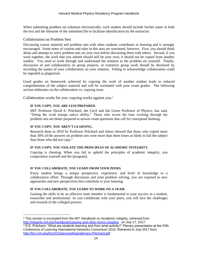When submitting problem set solutions electronically, each student should include his/her name in both the text and the filename of the submitted file to facilitate identification by the instructor.

## <span id="page-13-0"></span>Collaboration on Problem Sets

Discussing course material and problem sets with other students contributes to learning and is strongly encouraged. Some notes of caution and rules in this area are warranted, however. First, you should think about and attempt to solve problem sets on your own before discussing them with others. Second, if you work together, the work that you submit should still be your own; it should not be copied from another student. You need to work through and understand the solution to the problem set yourself. Finally, discussion of and collaboration on group projects, or extensive group work should be disclosed by recording the names of your collaborators on your solution. Failing to acknowledge collaboration could be regarded as plagiarism.

Good grades on homework achieved by copying the work of another student leads to reduced comprehension of the subject material and will be correlated with poor exam grades. The following section elaborates on the collaboration vs. copying issue.

<span id="page-13-1"></span>Collaboration works for you; copying works against you.<sup>1</sup>

#### **IF YOU COPY, YOU ARE LESS PREPARED.**

MIT Professor David E. Pritchard, the Cecil and Ida Green Professor of Physics, has said, "Doing the work trumps native ability." Those who invest the time working through the problem sets are better prepared to answer exam questions that call for conceptual thinking.

## **IF YOU COPY, YOU AREN'T LEARNING.**

Research done in 2010 by Professor Pritchard and others showed that those who copied more than 30% of the answers on problem sets were more than three times as likely to fail the subject than those who did not copy. $2$ 

#### **IF YOU COPY, YOU VIOLATE THE PRINCIPLES OF ACADEMIC INTEGRITY.**

Copying is cheating. When you fail to uphold the principles of academic integrity, you compromise yourself and the [program].

#### **IF YOU COLLABORATE, YOU LEARN FROM YOUR PEERS.**

Every student brings a unique perspective, experience, and level of knowledge to a collaborative effort. Through discussion and joint problem solving, you are exposed to new approaches and new perspectives that contribute to your learning.

## **IF YOU COLLABORATE, YOU LEARN TO WORK ON A TEAM**

Gaining the skills to be an effective team member is fundamental to your success as a student, researcher and professional. As you collaborate with your peers, you will face the challenges and rewards of the collegial process.

 $\overline{a}$ <sup>1</sup> This section is excerpted from the MIT Handbook on Academic Integrity, retrieved from <http://integrity.mit.edu/handbook/copying-and-other-forms-cheating>on July 17, 2017.

<sup>&</sup>lt;sup>2</sup> D.E. Pritchard, "What are students learning and from what activity?" Plenary presentation at the Fifth Conference of Learning International Networks Consortium 2010. Retrieved in July 2017 from <http://linc.mit.edu/linc2010/proceedings/plenary-Pritchard.pdf>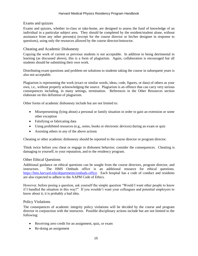## <span id="page-14-0"></span>Exams and quizzes

Exams and quizzes, whether in-class or take-home, are designed to assess the fund of knowledge of an individual in a particular subject area. They should be completed by the resident/student alone, without assistance from any other person(s) (except for the course director or his/her designee in response to questions), using only the resources allowed by the course director/instructor.

## <span id="page-14-1"></span>Cheating and Academic Dishonesty

Copying the work of current or previous students is not acceptable. In addition to being detrimental to learning (as discussed above), this is a form of plagiarism. Again, collaboration is encouraged but all students should be submitting their own work.

Distributing exam questions and problem set solutions to students taking the course in subsequent years is also not acceptable.

Plagiarism is representing the work (exact or similar words, ideas, code, figures, or data) of others as your own, i.e., without properly acknowledging the source. Plagiarism is an offence that can carry very serious consequences including, in many settings, termination. References in the Other Resources section elaborate on this definition of plagiarism.

Other forms of academic dishonesty include but are not limited to:

- Misrepresenting (lying about) a personal or family situation in order to gain an extension or some other exception
- Falsifying or fabricating data
- Using prohibited resources (e.g., notes, books or electronic devices) during an exam or quiz
- Assisting others in any of the above actions

Cheating or other academic dishonesty should be reported to the course director or program director.

Think twice before you cheat or engage in dishonest behavior; consider the consequences. Cheating is damaging to yourself, to your reputation, and to the residency program.

#### <span id="page-14-2"></span>Other Ethical Questions

Additional guidance on ethical questions can be sought from the course directors, program director, and instructors. The HMS Ombuds office is an additional resource for ethical questions. [https://hms.harvard.edu/departments/ombuds-office.](https://hms.harvard.edu/departments/ombuds-office) Each hospital has a code of conduct and residents are also expected to adhere to the AAPM Code of Ethics.

However, before posing a question, ask yourself the simple question "Would I want other people to know if I handled the situation in this way?" If you wouldn't want your colleagues and potential employers to know about it, it is probably a bad idea.

#### <span id="page-14-3"></span>Policy Violations

The consequences of academic integrity policy violations will be decided by the course and program director in conjunction with the instructor. Possible disciplinary actions include but are not limited to the following:

- Receiving zero credit for an assignment, quiz, or exam
- Re-doing an assignment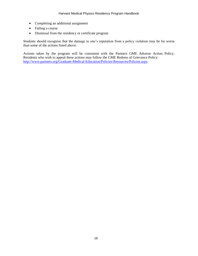- Completing an additional assignment
- Failing a course
- Dismissal from the residency or certificate program

Students should recognize that the damage to one's reputation from a policy violation may be far worse than some of the actions listed above.

Actions taken by the program will be consistent with the Partners GME Adverse Action Policy. Residents who wish to appeal these actions may follow the GME Redress of Grievance Policy: <http://www.partners.org/Graduate-Medical-Education/Policies-Resources/Policies.aspx>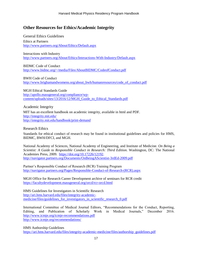# <span id="page-16-0"></span>**Other Resources for Ethics/Academic Integrity**

<span id="page-16-1"></span>General Ethics Guidelines Ethics at Partners <http://www.partners.org/About/Ethics/Default.aspx>

Interactions with Industry <http://www.partners.org/About/Ethics/Interactions-With-Industry/Default.aspx>

BIDMC Code of Conduct <http://www.bidmc.org/~/media/Files/AboutBIDMC/CodeofConduct.pdf>

BWH Code of Conduct [http://www.brighamandwomens.org/about\\_bwh/humanresources/code\\_of\\_conduct.pdf](http://www.brighamandwomens.org/about_bwh/humanresources/code_of_conduct.pdf)

MGH Ethical Standards Guide [http://apollo.massgeneral.org/compliance/wp](http://apollo.massgeneral.org/compliance/wp-content/uploads/sites/13/2016/12/MGH_Guide_to_Ethical_Standards.pdf)[content/uploads/sites/13/2016/12/MGH\\_Guide\\_to\\_Ethical\\_Standards.pdf](http://apollo.massgeneral.org/compliance/wp-content/uploads/sites/13/2016/12/MGH_Guide_to_Ethical_Standards.pdf)

<span id="page-16-2"></span>Academic Integrity MIT has an excellent handbook on academic integrity, available in html and PDF. <http://integrity.mit.edu/> <http://integrity.mit.edu/handbook/print-demand>

<span id="page-16-3"></span>Research Ethics

Standards for ethical conduct of research may be found in institutional guidelines and policies for HMS, BIDMC, BWH/DFCI, and MGH.

National Academy of Sciences, National Academy of Engineering, and Institute of Medicine. *On Being a Scientist: A Guide to Responsible Conduct in Research: Third Edition.* Washington, DC: The National Academies Press, 2009. [https://doi.org/10.17226/12192.](https://doi.org/10.17226/12192) <http://navigator.partners.org/Documents/OnBeingAScientist-3rdEd-2009.pdf>

Partner's Responsible Conduct of Research (RCR) Training Program [http://navigator.partners.org/Pages/Responsible-Conduct-of-Research-\(RCR\).aspx](http://navigator.partners.org/Pages/Responsible-Conduct-of-Research-(RCR).aspx)

MGH Office for Research Career Development archive of seminars for RCR credit <https://facultydevelopment.massgeneral.org/orcd/rcr-orcd.html>

HMS Guidelines for Investigators in Scientific Research [http://ari.hms.harvard.edu/files/integrity-academic](http://ari.hms.harvard.edu/files/integrity-academic-medicine/files/guidelines_for_investigators_in_scientific_research_0.pdf)[medicine/files/guidelines\\_for\\_investigators\\_in\\_scientific\\_research\\_0.pdf](http://ari.hms.harvard.edu/files/integrity-academic-medicine/files/guidelines_for_investigators_in_scientific_research_0.pdf)

International Committee of Medical Journal Editors, "Recommendations for the Conduct, Reporting, Editing, and Publication of Scholarly Work in Medical Journals," December 2016. <http://www.icmje.org/icmje-recommendations.pdf> <http://www.icmje.org/recommendations/>

HMS Authorship Guidelines

[https://ari.hms.harvard.edu/files/integrity-academic-medicine/files/authorship\\_guidelines.pdf](https://ari.hms.harvard.edu/files/integrity-academic-medicine/files/authorship_guidelines.pdf)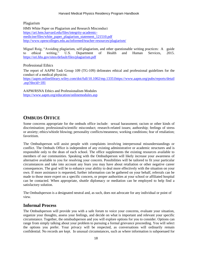<span id="page-17-0"></span>Plagiarism HMS White Paper on Plagiarism and Research Misconduct [https://ari.hms.harvard.edu/files/integrity-academic](https://ari.hms.harvard.edu/files/integrity-academic-medicine/files/white_paper_plagiarism_statement_121510.pdf)[medicine/files/white\\_paper\\_plagiarism\\_statement\\_121510.pdf](https://ari.hms.harvard.edu/files/integrity-academic-medicine/files/white_paper_plagiarism_statement_121510.pdf) <http://www.opencolleges.edu.au/informed/teacher-resources/plagiarism/>

Miguel Roig, "Avoiding plagiarism, self-plagiarism, and other questionable writing practices: A guide to ethical writing," U.S. Department of Health and Human Services, 2015. <https://ori.hhs.gov/sites/default/files/plagiarism.pdf>

## <span id="page-17-1"></span>Professional Ethics

The report of AAPM Task Group 109 (TG-109) delineates ethical and professional guidelines for the conduct of a medical physicist. <https://aapm.onlinelibrary.wiley.com/doi/full/10.1002/mp.13351>[https://www.aapm.org/pubs/reports/detail](https://www.aapm.org/pubs/reports/detail.asp?docid=181) [.asp?docid=181](https://www.aapm.org/pubs/reports/detail.asp?docid=181)

AAPM/RSNA Ethics and Professionalism Modules <https://www.aapm.org/education/onlinemodules.asp>

# <span id="page-17-2"></span>**OMBUDS OFFICE**

Some concerns appropriate for the ombuds office include: sexual harassment; racism or other kinds of discrimination; professional/scientific misconduct; research-related issues; authorship; feelings of stress or anxiety; ethics/whistle blowing; personality conflicts/meanness; working conditions; fear of retaliation; favoritism.

The Ombudsperson will assist people with complaints involving interpersonal misunderstandings or conflict. The Ombuds Office is independent of any existing administrative or academic structures and is responsible only to the dean of each school. The office supplements the existing resources available to members of our communities. Speaking with the Ombudsperson will likely increase your awareness of alternative available to you for resolving your concern. Possibilities will be tailored to fit your particular circumstances and take into account any fears you may have about retaliation or other negative career consequences. The goal will be to enhance your ability to deal more effectively with the situation on your own. If more assistance is requested, further information can be gathered on your behalf, referrals can be made to those more expert on a specific concern, or proper authorities at your school or affiliated hospital can be contacted. When appropriate, shuttle diplomacy or mediation can be employed to help find a satisfactory solution.

The Ombudsperson is a designated neutral and, as such, does not advocate for any individual or point of view.

## <span id="page-17-3"></span>**Informal Process**

The Ombudsperson will provide you with a safe forum to voice your concerns, evaluate your situation, organize your thoughts, assess your feelings, and decide on what is important and relevant your specific circumstance. Together, the omsbudsperson and you will explore options for you to consider. Options can range from simply talking about your problem to pursuing a formal grievance proceeding. You will select the options you prefer. Your privacy will be respected, as conversations will ordinarily remain confidential. No records are kept. In unusual circumstances, such as where information is subpoenaed for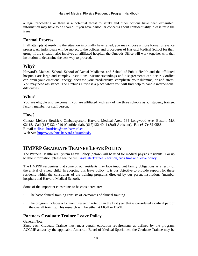a legal proceeding or there is a potential threat to safety and other options have been exhausted, information may have to be shared. If you have particular concerns about confidentiality, please raise the issue.

## <span id="page-18-0"></span>**Formal Process**

If all attempts at resolving the situation informally have failed, you may choose a more formal grievance process. All individuals will be subject to the policies and procedures of Harvard Medical School for their group. If the situation also involves an affiliated hospital, the Ombuds Office will work together with that institution to determine the best way to proceed.

## <span id="page-18-1"></span>**Why?**

Harvard's Medical School, School of Dental Medicine, and School of Public Health and the affiliated hospitals are large and complex institutions. Misunderstandings and disagreements can occur. Conflict can drain your emotional energy, decrease your productivity, complicate your dilemma, or add stress. You may need assistance. The Ombuds Office is a place where you will find help to handle interpersonal difficulties.

## <span id="page-18-2"></span>**Who?**

You are eligible and welcome if you are affiliated with any of the three schools as a: student, trainee, faculty member, or staff person.

## <span id="page-18-3"></span>**How?**

Contact Melissa Brodrick, Ombudsperson, Harvard Medical Area, 164 Longwood Ave, Boston, MA 02115. Call (617)432-4040 (Confidential), (617)432-4041 (Staff Assistant). Fax (617)432-0586. E-mail [melissa\\_brodrick@hms.harvard.edu](mailto:melissa_brodrick@hms.harvard.edu) Web Site<http://www.hms.harvard.edu/ombuds/>

# <span id="page-18-4"></span>**HMPRP GRADUATE TRAINEE LEAVE POLICY**

The Partners HealthCare System Leave Policy (below) will be used for medical physics residents. For up to date information, please see the full [Graduate Trainee Vacation, Sick time and leave policy.](https://www.partners.org/Assets/Documents/Graduate-Medical-Education/Policies/GME-Trainee-Vacation-and-Leave-Policy.pdf)

The HMPRP recognizes that some of our residents may face important family obligations as a result of the arrival of a new child. In adopting this leave policy, it is our objective to provide support for these residents within the constraints of the training programs directed by our parent institutions (member hospitals and Harvard Medical School).

Some of the important constraints to be considered are:

- The basic clinical training consists of 24 months of clinical training.
- The program includes a 12 month research rotation in the first year that is considered a critical part of the overall training. This research will be either at MGH or BWH.

# <span id="page-18-5"></span>**Partners Graduate Trainee Leave Policy**

General Note:

Since each Graduate Trainee must meet certain education requirements as defined by the program, ACGME and/or by the applicable American Board of Medical Specialties, the Graduate Trainee may be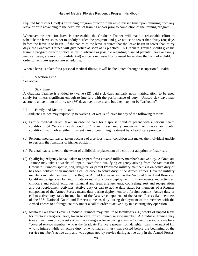required by his/her Chief(s) or training program director to make up missed time upon returning from any leave prior to advancing to the next level of training and/or prior to completion of the training program.

Whenever the need for leave is foreseeable, the Graduate Trainee will make a reasonable effort to schedule the leave so as not to unduly burden the program, and give notice no fewer than thirty (30) days before the leave is to begin. If the nature of the leave requires that the leave begin in fewer than thirty days, the Graduate Trainee will give notice as soon as is practical. A Graduate Trainee should give the training program director notice as far in advance as possible regarding planned parental leave or family medical leave; six months (confidential) notice is requested for planned leave after the birth of a child, in order to facilitate appropriate scheduling.

When a leave is taken for a personal medical illness, it will be facilitated through Occupational Health.

I. Vacation Time

See above.

#### II. Sick Time

A Graduate Trainee is entitled to twelve (12) paid sick days annually upon matriculation, to be used solely for illness significant enough to interfere with the performance of duty. Unused sick days may accrue to a maximum of thirty six (36) days over three years, but they may not be "cashed in".

III. Family and Medical Leave

A Graduate Trainee may request up to twelve (12) weeks of leave for any of the following reasons:

- (a) Family medical leave: taken in order to care for a spouse, child or parent with a serious health condition. (A "serious health condition" is an illness, injury, impairment or physical or mental condition that involves either inpatient care or continuing treatment by a health care provider.)
- (b) Personal medical leave: taken because of a serious health condition that makes the individual unable to perform the functions of his/her position.
- (c) Parental leave: taken in the event of childbirth or placement of a child for adoption or foster care.
- (d) Qualifying exigency leave: taken to prepare for a covered military member's active duty. A Graduate Trainee may take 12 weeks of unpaid leave for a qualifying exigency arising from the fact that the Graduate Trainee's spouse, son, daughter, or parent ("covered military member") is on active duty or has been notified of an impending call or order to active duty in the Armed Forces. Covered military members include members of the Regular Armed Forces as well as the National Guard and Reserves. Qualifying exigencies fall into 7 categories: short-notice deployment, military events and activities, childcare and school activities, financial and legal arrangements, counseling, rest and recuperation, and post-deployment activities. Active duty or call to active duty status for members of a Regular component of the Armed Forces means duty during deployment to a foreign country. Active duty or call to active duty status for members of the Reserve components of the Armed Forces (i.e. members of the U.S. National Guard and Reserves) means duty during deployment of the member with the Armed Forces to a foreign country under a call to order to active duty in a contingency operation.
- (e) Military Caregiver Leave Graduate Trainees may take up to twenty-six (26) weeks of unpaid leave for military caregiver leave, taken to care for an injured service member. A Graduate Trainee may take a maximum of 26 weeks of military caregiver leave during a single 12 month period to care for a "covered service member" who is the Graduate Trainee's spouse, son, daughter, parent, or next of kin who is injured while on active duty, or who had an injury that existed before the beginning of the service member's active duty and was aggravated by service during active duty in the Armed Forces.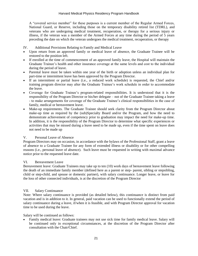A "covered service member" for these purposes is a current member of the Regular Armed Forces, National Guard, or Reserve, including those on the temporary disability retired list (TDRL), and veterans who are undergoing medical treatment, recuperation, or therapy for a serious injury or illness, if the veteran was a member of the Armed Forces at any time during the period of 5 years preceding the date on which the veteran undergoes the medical treatment, recuperation, or therapy

## IV. Additional Provisions Relating to Family and Medical Leave

- Upon return from an approved family or medical leave of absence, the Graduate Trainee will be restored to the position left.
- If enrolled at the time of commencement of an approved family leave, the Hospital will maintain the Graduate Trainee's health and other insurance coverage at the same levels and cost to the individual during the period of leave.
- Parental leave must be taken within one year of the birth or adoption unless an individual plan for part-time or intermittent leave has been approved by the Program Director.
- If an intermittent or partial leave (i.e., a reduced work schedule) is requested, the Chief and/or training program director may alter the Graduate Trainee's work schedule in order to accommodate the leave.
- Coverage for Graduate Trainee's program-related responsibilities. It is understood that it is the responsibility of the Program Director or his/her delegate – not of the Graduate Trainee taking a leave - to make arrangements for coverage of the Graduate Trainee's clinical responsibilities in the case of family, medical or bereavement leave.
- Make-up requirements. The Graduate Trainee should seek clarity from the Program Director about make-up time as required by the (sub)Specialty Board and/or the Program, and how the need to demonstrate achievement of competency prior to graduation may impact the need for make-up time. In addition, it is the responsibility of the Program Director to determine what specific experiences or activities that may be missed during a leave need to be made up, even if the time spent on leave does not need to be made up

## V. Personal Leave of Absence

Program Directors may on occasion, in accordance with the bylaws of the Professional Staff, grant a leave of absence to a Graduate Trainee for any form of extended illness or disability or for other compelling reasons (i.e., personal leave of absence). Such leave must be requested in writing with maximal advance notice prior to the requested leave date.

## VI. Bereavement Leave

Bereavement leave: Graduate Trainees may take up to ten (10) work days of bereavement leave following the death of an immediate family member (defined here as a parent or step- parent, sibling or stepsibling, child or step-child, and spouse or domestic partner), with salary continuance. Longer leave, or leave for the loss of other connected individuals, is at the discretion of the Program Director

## VII. Salary Continuance

Note: Where salary continuance is provided (as detailed below), this continuance is distinct from paid vacation and is in addition to it. In general, paid vacation can be used to functionally extend the period of salary continuance during a leave, if/when it is feasible, and with Program Director approval for vacation time to be used during the leave.

Salary will be continued as follows:

• Family medical leave: Graduate trainees may not use sick time for family medical leave. Salary will be continued only in exceptional circumstances, at the discretion of the Program Director after consultation with the Chair/Chief.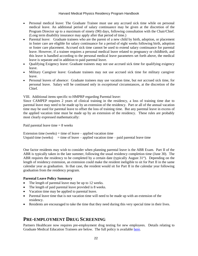- Personal medical leave: The Graduate Trainee must use any accrued sick time while on personal medical leave. An additional period of salary continuance may be given at the discretion of the Program Director up to a maximum of ninety (90) days, following consultation with the Chair/Chief. (Long term disability insurance may apply after that period of time.)
- Parental leave: Graduate trainees who are the parent of a new child by birth, adoption, or placement in foster care are eligible for salary continuance for a period of eight weeks following birth, adoption or foster care placement. Accrued sick time cannot be used to extend salary continuance for parental leave. However, if a trainee requires a personal medical leave related to pregnancy or childbirth, and this leave is handled according to the personal medical leave parameters set forth above, the medical leave is separate and in addition to paid parental leave.
- Qualifying Exigency leave: Graduate trainees may not use accrued sick time for qualifying exigency leave.
- Military Caregiver leave: Graduate trainees may not use accrued sick time for military caregiver leave.
- Personal leaves of absence: Graduate trainees may use vacation time, but *not* accrued sick time, for personal leave. Salary will be continued only in *exceptional* circumstances, at the discretion of the Chief.

VIII. Additional items specific to HMPRP regarding Parental leave:

Since CAMPEP requires 2 years of clinical training in the residency, a loss of training time due to parental leave may need to be made up by an extension of the residency. Part or all of the annual vacation time may be used for parental leave to offset the loss of training time. But any parental leave in excess of the applied vacation time must be made up by an extension of the residency. These rules are probably most clearly expressed mathematically:

Paid parental leave time  $= 8$  weeks

Extension time (weeks) = time of leave – applied vacation time Unpaid time (weeks)  $=$  time of leave – applied vacation time – paid parental leave time

One factor residents may wish to consider when planning parental leave is the ABR Exam. Part II of the ABR is typically taken in the late summer, following the usual residency completion time (June 30). The ABR requires the residency to be completed by a certain date (typically August  $31<sup>st</sup>$ ). Depending on the length of residency extension, an extension could make the resident ineligible to sit for Part II in the same calendar year as graduation. In that case, the resident would sit for Part II in the calendar year following graduation from the residency program.

## **Parental Leave Policy Summary**

- The length of parental leave may be up to 12 weeks.
- The length of paid parental leave provided is 8 weeks.
- Vacation time may be applied to parental leave.
- Parental leave time that is not vacation time will need to be made up with an extension of the residency.
- Residents are encouraged to take the time that they need during this very special time in their lives.

# <span id="page-21-0"></span>**PRE-EMPLOYMENT DRUG SCREENING**

Partners Healthcare now requires pre-employment drug testing for new employees. Details relating to Graduate Medical Education Trainees are below. The full policy is available [here.](https://www.partners.org/Assets/Documents/Graduate-Medical-Education/Policies/drug-testing-policy.pdf)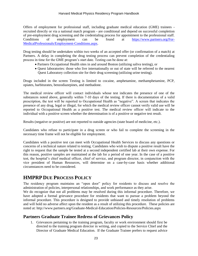Offers of employment for professional staff, including graduate medical education (GME) trainees recruited directly or via a national match program - are conditional and depend on successful completion of pre-employment drug screening and the credentialing process for appointment to the professional staff. Conditions of employment can be found at [https://www.partners.org/For-](https://www.partners.org/For-MedicalProfessionals/Employment-Conditions.aspx)[MedicalProfessionals/Employment-Conditions.aspx.](https://www.partners.org/For-MedicalProfessionals/Employment-Conditions.aspx)

Drug testing should be undertaken within two weeks of an accepted offer (or confirmation of a match) at Partners. A delay in completing the drug testing process can prevent completion of the credentialing process in time for the GME program's start date. Testing can be done at:

- Partners Occupational Health sites in and around Boston (utilizing saliva testing), or
- Quest laboratories: those who live internationally or out of state will be referred to the nearest Quest Laboratory collection site for their drug screening (utilizing urine testing).

Drugs included in the screen Testing is limited to cocaine, amphetamine, methamphetamine, PCP, opiates, barbiturates, benzodiazepines, and methadone.

The medical review officer will contact individuals whose test indicates the presence of one of the substances noted above, generally within 7-10 days of the testing. If there is documentation of a valid prescription, the test will be reported to Occupational Health as "negative". A screen that indicates the presence of any drug, legal or illegal, for which the medical review officer cannot verify valid use will be reported to Occupational Health as a positive test. The medical review officer will indicate to the individual with a positive screen whether the determination is of a positive or negative test result.

Results (negative or positive) are not reported to outside agencies (state board of medicine, etc.).

Candidates who refuse to participate in a drug screen or who fail to complete the screening in the necessary time frame will not be eligible for employment.

Candidates with a positive test can meet with Occupational Health Services to discuss any questions or concerns of a technical nature related to testing. Candidates who wish to dispute a positive result have the right to request that the sample be tested at a second independent certified lab at their own expense. For this reason, positive samples are maintained at the lab for a period of one year. In the case of a positive test, the hospital's chief medical officer, chief of service, and program director, in conjunction with the vice president of Human Resources, will determine on a case-by-case basis whether additional circumstances need to be considered.

# <span id="page-22-0"></span>**HMPRP DUE PROCESS POLICY**

The residency program maintains an "open door" policy for residents to discuss and resolve the administration of policies, interpersonal relationships, and work performance as they arise.

We do recognize that not all problems may be resolved during this informal procedure. Therefore, we have adopted a formal grievance procedure for residents that want to pursue a problem beyond the informal procedure. This procedure is designed to provide unbiased and timely resolution of problems and will hold no adverse affect upon the resident as a result of utilizing this procedure. These policies are noted at: http://www.partners.org/Graduate-Medical-Education/Policies-Resources/Policies.aspx

## <span id="page-22-1"></span>**Partners Graduate Trainee Redress of Grievances Policy**

1. Grievances pertaining to the training program, faculty or work environment should first be directed to the training program director in writing, and copied to the Service Chief and the Director of Graduate Medical Education. If the Graduate Trainee prefers to request advice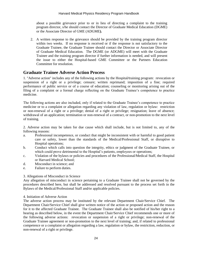about a possible grievance prior to or in lieu of directing a complaint to the training program director, s/he should contact the Director of Graduate Medical Education (DGME) or the Associate Director of GME (ADGME**).**

2. A written response to the grievance should be provided by the training program director within two weeks. If no response is received or if the response is not satisfactory to the Graduate Trainee, the Graduate Trainee should contact the Director or Associate Director of Graduate Medical Education. The DGME (or ADGME) will meet with the Graduate Trainee and the training program director if further information is needed, and will present the issue to either the Hospital-based GME Committee or the Partners Education Committee for resolution.

## <span id="page-23-0"></span>**Graduate Trainee Adverse Action Process**

1. "Adverse action" includes any of the following actions by the Hospital*/*training program: revocation or suspension of a right or a privilege; censure; written reprimand; imposition of a fine; required performance of public service or of a course of education; counseling or monitoring arising out of the filing of a complaint or a formal charge reflecting on the Graduate Trainee's competence to practice medicine.

The following actions are also included, only if related to the Graduate Trainee's competence to practice medicine or to a complaint or allegation regarding any violation of law, regulation or bylaw: restriction or non-renewal of a right or a privilege; denial of a right or privilege; resignation; leave of absence; withdrawal of an application; termination or non-renewal of a contract, or non-promotion to the next level of training.

2. Adverse action may be taken for due cause which shall include, but is not limited to, any of the following reasons:

- a. Professional incompetence, or conduct that might be inconsistent with or harmful to good patient care or safety, lower than the standards of the Medical/Professional Staff, or disruptive to Hospital operations;
- b. Conduct which calls into question the integrity, ethics or judgment of the Graduate Trainee, or which could prove detrimental to the Hospital's patients, employees or operations;
- c. Violation of the bylaws or policies and procedures of the Professional/Medical Staff, the Hospital or Harvard Medical School;
- d. Misconduct in science; and
- e. Failure to perform duties.

## 3. Allegations of Misconduct in Science

Any allegation of misconduct in science pertaining to a Graduate Trainee shall not be governed by the procedures described here, but shall be addressed and resolved pursuant to the process set forth in the Bylaws of the Medical/Professional Staff and*/*or applicable policies.

#### 4. Initiation of Adverse Action

The adverse action process may be instituted by the relevant Department Chair/Service Chief. The Department Chair/Service Chief shall give written notice of the action or proposed action and the reason for it to the affected Graduate Trainee. The Graduate Trainee shall also be notified of his/her right to a hearing as described below, in the event the Department Chair/Service Chief recommends one or more of the following adverse actions: revocation or suspension of a right or privilege; non-renewal of the Graduate Trainee agreement or non-promotion to the next level of training; and, if related to professional competence or a complaint or allegation regarding a law, regulation or bylaw, the restriction, reduction, or non-renewal of a right or privilege.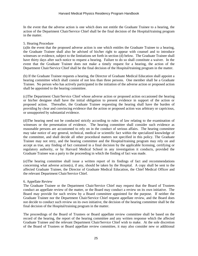In the event that the adverse action is one which does not entitle the Graduate Trainee to a hearing, the action of the Department Chair/Service Chief shall be the final decision of the Hospital/training program in the matter.

## 5. Hearing Procedure

(a)In the event that the proposed adverse action is one which entitles the Graduate Trainee to a hearing, the Graduate Trainee shall also be advised of his/her right to appear with counsel and to introduce witnesses or evidence, subject to the limitations set forth in section (d) below. The Graduate Trainee shall have thirty days after such notice to request a hearing. Failure to do so shall constitute a waiver. In the event that the Graduate Trainee does not make a timely request for a hearing, the action of the Department Chair/Service Chief shall be the final decision of the Hospital/training program in the matter.

(b) If the Graduate Trainee requests a hearing, the Director of Graduate Medical Education shall appoint a hearing committee which shall consist of not less than three persons. One member shall be a Graduate Trainee. No person who has actively participated in the initiation of the adverse action or proposed action shall be appointed to the hearing committee.

(c)The Department Chair/Service Chief whose adverse action or proposed action occasioned the hearing or his/her designee shall have the initial obligation to present evidence in support of the action or proposed action. Thereafter, the Graduate Trainee requesting the hearing shall have the burden of providing by clear and convincing evidence that the action or proposed action was arbitrary or capricious, or unsupported by substantial evidence.

(d)The hearing need not be conducted strictly according to rules of law relating to the examination of witnesses or the presentation of evidence. The hearing committee shall consider such evidence as reasonable persons are accustomed to rely on in the conduct of serious affairs. The hearing committee may take notice of any general, technical, medical or scientific fact within the specialized knowledge of the committee, and shall decide all other procedural matters not specified in this policy. The Graduate Trainee may not retry, and the hearing committee and the Hospital/training program may rely on and accept as true, any finding of fact contained in a final decision by the applicable licensing, certifying or regulatory authority, or by Harvard Medical School in any investigation it conducts, provided the Graduate Trainee was a party to the proceeding in which the finding of fact was made.

(e)The hearing committee shall issue a written report of its findings of fact and recommendations concerning what adverse action(s), if any, should be taken by the Hospital. A copy shall be sent to the affected Graduate Trainee, the Director of Graduate Medical Education*,* the Chief Medical Officer and the relevant Department Chair/Service Chief.

#### 6. Appellate Review

The Graduate Trainee or the Department Chair/Service Chief may request that the Board of Trustees conduct an appellate review of the matter, or the Board may conduct a review on its own initiative. The Board may provide for such review by a Board committee appointed for the purpose. If neither the Graduate Trainee nor the Department Chair/Service Chief request appellate review, and the Board does not decide to conduct such review on its own initiative, the decision of the hearing committee shall be the final decision of the Hospital/training program in the matter.

The proceedings of the Board of Trustees or Board appellate review committee shall be based on the record of the hearing, the report of the hearing committee and any written response which the affected Graduate Trainee and the relevant Department Chair/Service Chief wish to make. At the sole discretion of the Board of Trustees or Board appellate review committee, it may also consider new or additional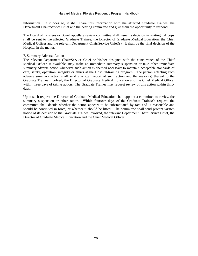information. If it does so, it shall share this information with the affected Graduate Trainee, the Department Chair/Service Chief and the hearing committee and give them the opportunity to respond.

The Board of Trustees or Board appellate review committee shall issue its decision in writing. A copy shall be sent to the affected Graduate Trainee, the Director of Graduate Medical Education, the Chief Medical Officer and the relevant Department Chair/Service Chief(s). It shall be the final decision of the Hospital in the matter.

#### 7. Summary Adverse Action

The relevant Department Chair/Service Chief or his/her designee with the concurrence of the Chief Medical Officer, if available, may make an immediate summary suspension or take other immediate summary adverse action whenever such action is deemed necessary to maintain acceptable standards of care, safety, operation, integrity or ethics at the Hospital*/*training program. The person effecting such adverse summary action shall send a written report of such action and the reason(s) thereof to the Graduate Trainee involved, the Director of Graduate Medical Education and the Chief Medical Officer within three days of taking action*.* The Graduate Trainee may request review of this action within thirty days.

Upon such request the Director of Graduate Medical Education shall appoint a committee to review the summary suspension or other action. Within fourteen days of the Graduate Trainee's request, the committee shall decide whether the action appears to be substantiated by fact and is reasonable and should be continued in force, or whether it should be lifted. The committee shall send prompt written notice of its decision to the Graduate Trainee involved, the relevant Department Chair/Service Chief, the Director of Graduate Medical Education and the Chief Medical Officer.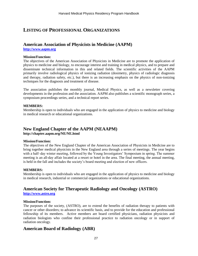# <span id="page-26-0"></span>**LISTING OF PROFESSIONAL ORGANIZATIONS**

## **American Association of Physicists in Medicine (AAPM)**

**[http://www.aapm.org](http://www.aapm.org/)**

#### **Mission/Function:**

The objectives of the American Association of Physicists in Medicine are to promote the application of physics to medicine and biology, to encourage interest and training in medical physics, and to prepare and disseminate technical information in this and related fields. The scientific activities of the AAPM primarily involve radiological physics of ionizing radiation (dosimetry, physics of radiologic diagnosis and therapy, radiation safety, etc.), but there is an increasing emphasis on the physics of non-ionizing techniques for the diagnosis and treatment of disease.

The association publishes the monthly journal, Medical Physics, as well as a newsletter covering developments in the profession and the association. AAPM also publishes a scientific monograph series, a symposium proceedings series, and a technical report series.

## **MEMBERS:**

Membership is open to individuals who are engaged in the application of physics to medicine and biology in medical research or educational organizations.

# **New England Chapter of the AAPM (NEAAPM)**

**http://chapter.aapm.org/NE/NE.html**

#### **Mission/Function:**

The objectives of the New England Chapter of the American Association of Physicists in Medicine are to bring together medical physicists in the New England area through a series of meetings. The year begins with a half-day winter meeting, followed by the Young Investigators' Symposium in spring. The summer meeting is an all-day affair located at a resort or hotel in the area. The final meeting, the annual meeting, is held in the fall and includes the society's board meeting and election of new officers.

## **MEMBERS:**

Membership is open to individuals who are engaged in the application of physics to medicine and biology in medical research, industrial or commercial organizations or educational organizations.

# **American Society for Therapeutic Radiology and Oncology (ASTRO)**

**[http://www.astro.org](http://www.astro.org/)**

#### **Mission/Function:**

The purposes of the society, (ASTRO), are to extend the benefits of radiation therapy to patients with cancer or other disorders; to advance its scientific basis, and to provide for the education and professional fellowship of its members. Active members are board certified physicians, radiation physicists and radiation biologists who confine their professional practice to radiation oncology or in support of radiation oncology.

## **American Board of Radiology (ABR)**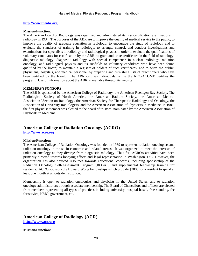#### **[http://www.theabr.org](http://www.theabr.org/)**

#### **Mission/Function:**

The American Board of Radiology was organized and administered its first certification examinations in radiology in 1934. The purposes of the ABR are to improve the quality of medical service to the public; to improve the quality of graduate education in radiology; to encourage the study of radiology and to evaluate the standards of training in radiology; to arrange, control, and conduct investigations and examinations for specialists in radiology and radiological physics in order to evaluate the qualifications of voluntary candidates for certification by the ABR; to grant and issue certificates in the field of radiology, diagnostic radiology, diagnostic radiology with special competence in nuclear radiology, radiation oncology, and radiological physics and its subfields to voluntary candidates who have been found qualified by the board; to maintain a registry of holders of such certificates; and to serve the public, physicians, hospitals, and medical personnel by preparing and furnishing lists of practitioners who have been certified by the board. The ABR certifies individuals, while the RRC/ACGME certifies the program. Useful information about the ABR is available through its website.

#### **MEMBERS/SPONSORS**:

The ABR is sponsored by the American College of Radiology, the American Roentgen Ray Society, The Radiological Society of North America, the American Radium Society, the American Medical Association `Section on Radiology', the American Society for Therapeutic Radiology and Oncology, the Association of University Radiologists, and the American Association of Physicists in Medicine. In 1981, the first physicist member was elected to the board of trustees, nominated by the American Association of Physicists in Medicine.

# **American College of Radiation Oncology (ACRO)**

**[http://www.acro.org](http://www.acro.org/)**

#### **Mission/Function:**

The American College of Radiation Oncology was founded in 1989 to represent radiation oncologists and radiation oncology in the socio-economic and related arenas. It was organized to meet the interests of radiation oncology as they diverge from diagnostic radiology. Thus far, ACRO's activities have been primarily directed towards lobbying efforts and legal representation in Washington, D.C. However, the organization has also devoted resources towards educational concerns, including sponsorship of the Radiation Oncology Self-Assessment Program (ROSAP) and supplemental fellowship training for residents. ACRO sponsors the Howard Wong Fellowships which provide \$2000 for a resident to spend at least one month at an outside institution.

Membership is open to radiation oncologists and physicists in the United States, and to radiation oncology administrators through associate membership. The Board of Chancellors and officers are elected from members representing all types of practices including university, hospital based, free-standing, fee for service, HMO, government, etc.

## **American College of Radiology (ACR) [http://www.acr.org](http://www.acr.org/)**

**Mission/Function:**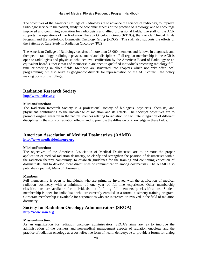The objectives of the American College of Radiology are to advance the science of radiology, to improve radiologic service to the patient, study the economic aspects of the practice of radiology, and to encourage improved and continuing education for radiologists and allied professional fields. The staff of the ACR supports the operations of the Radiation Therapy Oncology Group (RTOG), the Particle Clinical Trials Program and the Radiologic Diagnostic Oncology Group (RDOG). The staff also supports the efforts of the Patterns of Care Study in Radiation Oncology (PCS).

The American College of Radiology consists of more than 28,000 members and fellows in diagnostic and therapeutic radiology, radiologic physics, and related disciplines. Full regular membership in the ACR is open to radiologists and physicists who achieve certification by the American Board of Radiology or an equivalent board. Other classes of membership are open to qualified individuals practicing radiology fulltime or working in allied fields. Members are structured into chapters which not only offer local programming, but also serve as geographic districts for representation on the ACR council, the policy making body of the college.

## **Radiation Research Society**

[http://www.radres.org](http://www.radres.org/)

## **Mission/Function:**

The Radiation Research Society is a professional society of biologists, physicists, chemists, and physicians contributing to the knowledge of radiation and its effects. The society's objectives are to promote original research in the natural sciences relating to radiation, to facilitate integration of different disciplines in the study of radiation effects, and to promote the diffusion of knowledge in these fields.

## **American Association of Medical Dosimetrists (AAMD)**

**[http://www.medicaldosimetry.org](http://www.medicaldosimetry.org/)**

## **Mission/Function:**

The objectives of the American Association of Medical Dosimetrists are to promote the proper application of medical radiation dosimetry, to clarify and strengthen the position of dosimetrists within the radiation therapy community, to establish guidelines for the training and continuing education of dosimetrists, and to develop more direct lines of communication among dosimetrists. The AAMD also publishes a journal, *Medical Dosimetry.*

#### . **Members**:

Full membership is open to individuals who are primarily involved with the application of medical radiation dosimetry with a minimum of one year of full-time experience. Other membership classifications are available for individuals not fulfilling full membership classifications. Student membership is open for individuals who are currently enrolled in a formal dosimetry training program. Corporate membership is available for corporations who are interested or involved in the field of radiation dosimetry.

## **Society for Radiation Oncology Administrators (SROA)**

**[http://www.sroa.org](http://www.sroa.org/)**

#### **Mission/Function:**

As an organization for radiation oncology administrators, SROA's aims are: a) to improve the administration of the business and non-medical management aspects of radiation oncology and the practice of radiation oncology as a cost effective form of health delivery; b) to provide a forum for dialog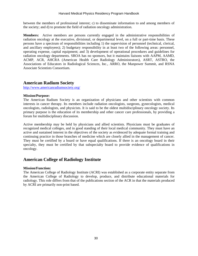between the members of professional interest; c) to disseminate information to and among members of the society; and d) to promote the field of radiation oncology administration.

**Members:** Active members are persons currently engaged in the administrative responsibilities of radiation oncology at the executive, divisional, or departmental level, on a full or part-time basis. These persons have a spectrum of responsibilities including 1) the supervision of personnel (technical, clerical, and ancillary employees); 2) budgetary responsibility in at least two of the following areas: personnel, operating expense, capital equipment; and 3) development of operational procedures and guidelines for radiation oncology departments. SROA has no sponsors, but it maintains liaisons with AAPM, AAMD, ACMP, ACR, AHCRA (American Health Care Radiology Administrators), ASRT, ASTRO, the Associations of Educators in Radiological Sciences, Inc., ARRO, the Manpower Summit, and RSNA Associate Scientists Consortium.

## **American Radium Society**

<http://www.americanradiumsociety.org/>

#### **Mission/Purpose:**

The American Radium Society is an organization of physicians and other scientists with common interests in cancer therapy. Its members include radiation oncologists, surgeons, gynecologists, medical oncologists, radiologists, and physicists. It is said to be the oldest multidisciplinary oncology society. Its primary purpose is the education of its membership and other cancer care professionals, by providing a forum for multidisciplinary discussion.

Active membership may be held by physicians and allied scientists. Physicians must be graduates of recognized medical colleges, and in good standing of their local medical community. They must have an active and sustained interest in the objectives of the society as evidenced by adequate formal training and continuing practice in those branches of medicine which are closely allied in the management of cancer. They must be certified by a board or have equal qualifications. If there is an oncology board in their specialty, they must be certified by that subspecialty board to provide evidence of qualifications in oncology.

## **American College of Radiology Institute**

#### **Mission/Function:**

The American College of Radiology Institute (ACRI) was established as a corporate entity separate from the American College of Radiology to develop, produce, and distribute educational materials for radiology. This role differs from that of the publications section of the ACR in that the materials produced by ACRI are primarily non-print based.